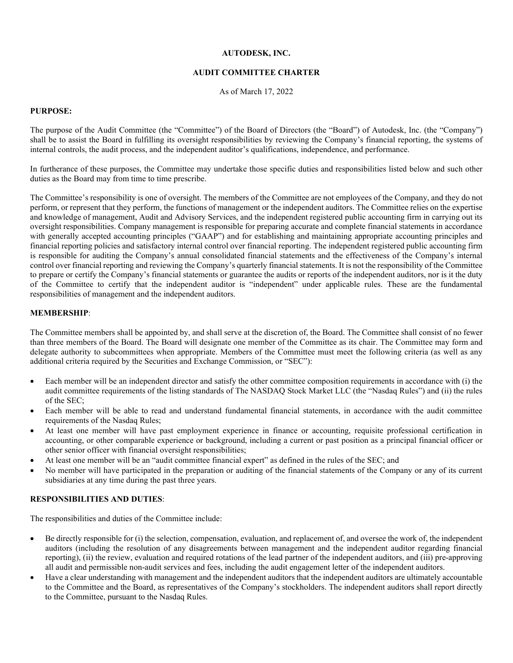# **AUTODESK, INC.**

### **AUDIT COMMITTEE CHARTER**

As of March 17, 2022

### **PURPOSE:**

The purpose of the Audit Committee (the "Committee") of the Board of Directors (the "Board") of Autodesk, Inc. (the "Company") shall be to assist the Board in fulfilling its oversight responsibilities by reviewing the Company's financial reporting, the systems of internal controls, the audit process, and the independent auditor's qualifications, independence, and performance.

In furtherance of these purposes, the Committee may undertake those specific duties and responsibilities listed below and such other duties as the Board may from time to time prescribe.

The Committee's responsibility is one of oversight. The members of the Committee are not employees of the Company, and they do not perform, or represent that they perform, the functions of management or the independent auditors. The Committee relies on the expertise and knowledge of management, Audit and Advisory Services, and the independent registered public accounting firm in carrying out its oversight responsibilities. Company management is responsible for preparing accurate and complete financial statements in accordance with generally accepted accounting principles ("GAAP") and for establishing and maintaining appropriate accounting principles and financial reporting policies and satisfactory internal control over financial reporting. The independent registered public accounting firm is responsible for auditing the Company's annual consolidated financial statements and the effectiveness of the Company's internal control over financial reporting and reviewing the Company's quarterly financial statements. It is not the responsibility of the Committee to prepare or certify the Company's financial statements or guarantee the audits or reports of the independent auditors, nor is it the duty of the Committee to certify that the independent auditor is "independent" under applicable rules. These are the fundamental responsibilities of management and the independent auditors.

# **MEMBERSHIP**:

The Committee members shall be appointed by, and shall serve at the discretion of, the Board. The Committee shall consist of no fewer than three members of the Board. The Board will designate one member of the Committee as its chair. The Committee may form and delegate authority to subcommittees when appropriate. Members of the Committee must meet the following criteria (as well as any additional criteria required by the Securities and Exchange Commission, or "SEC"):

- Each member will be an independent director and satisfy the other committee composition requirements in accordance with (i) the audit committee requirements of the listing standards of The NASDAQ Stock Market LLC (the "Nasdaq Rules") and (ii) the rules of the SEC;
- Each member will be able to read and understand fundamental financial statements, in accordance with the audit committee requirements of the Nasdaq Rules;
- At least one member will have past employment experience in finance or accounting, requisite professional certification in accounting, or other comparable experience or background, including a current or past position as a principal financial officer or other senior officer with financial oversight responsibilities;
- At least one member will be an "audit committee financial expert" as defined in the rules of the SEC; and
- No member will have participated in the preparation or auditing of the financial statements of the Company or any of its current subsidiaries at any time during the past three years.

#### **RESPONSIBILITIES AND DUTIES**:

The responsibilities and duties of the Committee include:

- Be directly responsible for (i) the selection, compensation, evaluation, and replacement of, and oversee the work of, the independent auditors (including the resolution of any disagreements between management and the independent auditor regarding financial reporting), (ii) the review, evaluation and required rotations of the lead partner of the independent auditors, and (iii) pre-approving all audit and permissible non-audit services and fees, including the audit engagement letter of the independent auditors.
- Have a clear understanding with management and the independent auditors that the independent auditors are ultimately accountable to the Committee and the Board, as representatives of the Company's stockholders. The independent auditors shall report directly to the Committee, pursuant to the Nasdaq Rules.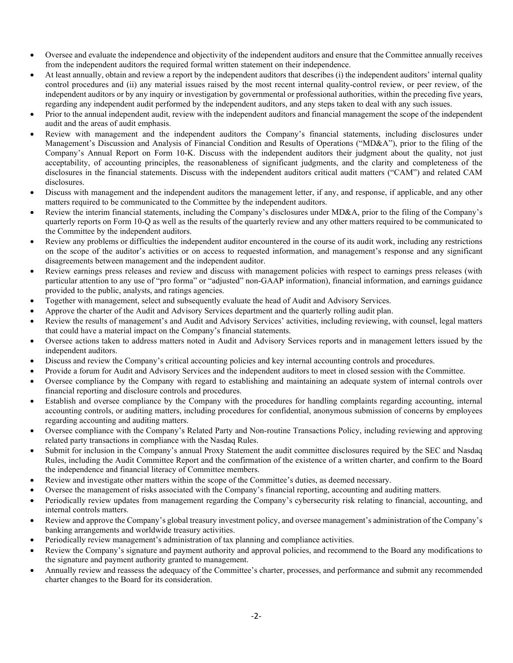- Oversee and evaluate the independence and objectivity of the independent auditors and ensure that the Committee annually receives from the independent auditors the required formal written statement on their independence.
- At least annually, obtain and review a report by the independent auditors that describes (i) the independent auditors' internal quality control procedures and (ii) any material issues raised by the most recent internal quality-control review, or peer review, of the independent auditors or by any inquiry or investigation by governmental or professional authorities, within the preceding five years, regarding any independent audit performed by the independent auditors, and any steps taken to deal with any such issues.
- Prior to the annual independent audit, review with the independent auditors and financial management the scope of the independent audit and the areas of audit emphasis.
- Review with management and the independent auditors the Company's financial statements, including disclosures under Management's Discussion and Analysis of Financial Condition and Results of Operations ("MD&A"), prior to the filing of the Company's Annual Report on Form 10-K. Discuss with the independent auditors their judgment about the quality, not just acceptability, of accounting principles, the reasonableness of significant judgments, and the clarity and completeness of the disclosures in the financial statements. Discuss with the independent auditors critical audit matters ("CAM") and related CAM disclosures.
- Discuss with management and the independent auditors the management letter, if any, and response, if applicable, and any other matters required to be communicated to the Committee by the independent auditors.
- Review the interim financial statements, including the Company's disclosures under MD&A, prior to the filing of the Company's quarterly reports on Form 10-Q as well as the results of the quarterly review and any other matters required to be communicated to the Committee by the independent auditors.
- Review any problems or difficulties the independent auditor encountered in the course of its audit work, including any restrictions on the scope of the auditor's activities or on access to requested information, and management's response and any significant disagreements between management and the independent auditor.
- Review earnings press releases and review and discuss with management policies with respect to earnings press releases (with particular attention to any use of "pro forma" or "adjusted" non-GAAP information), financial information, and earnings guidance provided to the public, analysts, and ratings agencies.
- Together with management, select and subsequently evaluate the head of Audit and Advisory Services.
- Approve the charter of the Audit and Advisory Services department and the quarterly rolling audit plan.
- Review the results of management's and Audit and Advisory Services' activities, including reviewing, with counsel, legal matters that could have a material impact on the Company's financial statements.
- Oversee actions taken to address matters noted in Audit and Advisory Services reports and in management letters issued by the independent auditors.
- Discuss and review the Company's critical accounting policies and key internal accounting controls and procedures.
- Provide a forum for Audit and Advisory Services and the independent auditors to meet in closed session with the Committee.
- Oversee compliance by the Company with regard to establishing and maintaining an adequate system of internal controls over financial reporting and disclosure controls and procedures.
- Establish and oversee compliance by the Company with the procedures for handling complaints regarding accounting, internal accounting controls, or auditing matters, including procedures for confidential, anonymous submission of concerns by employees regarding accounting and auditing matters.
- Oversee compliance with the Company's Related Party and Non-routine Transactions Policy, including reviewing and approving related party transactions in compliance with the Nasdaq Rules.
- Submit for inclusion in the Company's annual Proxy Statement the audit committee disclosures required by the SEC and Nasdaq Rules, including the Audit Committee Report and the confirmation of the existence of a written charter, and confirm to the Board the independence and financial literacy of Committee members.
- Review and investigate other matters within the scope of the Committee's duties, as deemed necessary.
- Oversee the management of risks associated with the Company's financial reporting, accounting and auditing matters.
- Periodically review updates from management regarding the Company's cybersecurity risk relating to financial, accounting, and internal controls matters.
- Review and approve the Company's global treasury investment policy, and oversee management's administration of the Company's banking arrangements and worldwide treasury activities.
- Periodically review management's administration of tax planning and compliance activities.
- Review the Company's signature and payment authority and approval policies, and recommend to the Board any modifications to the signature and payment authority granted to management.
- Annually review and reassess the adequacy of the Committee's charter, processes, and performance and submit any recommended charter changes to the Board for its consideration.